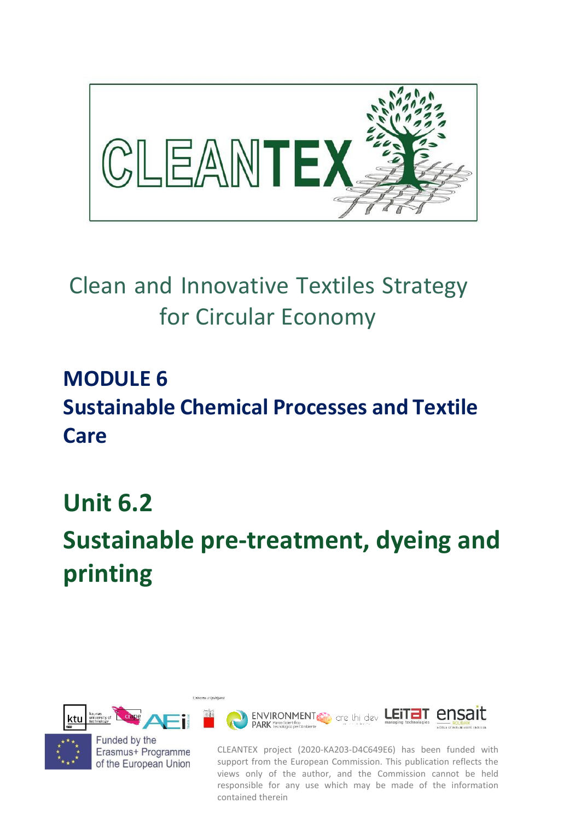

## Clean and Innovative Textiles Strategy for Circular Economy

### **MODULE 6 Sustainable Chemical Processes and Textile Care**

### **Unit 6.2**

# **Sustainable pre-treatment, dyeing and printing**



Univerza v Liubliani

Funded by the Erasmus+ Programme of the European Union

CLEANTEX project (2020-KA203-D4C649E6) has been funded with support from the European Commission. This publication reflects the views only of the author, and the Commission cannot be held responsible for any use which may be made of the information contained therein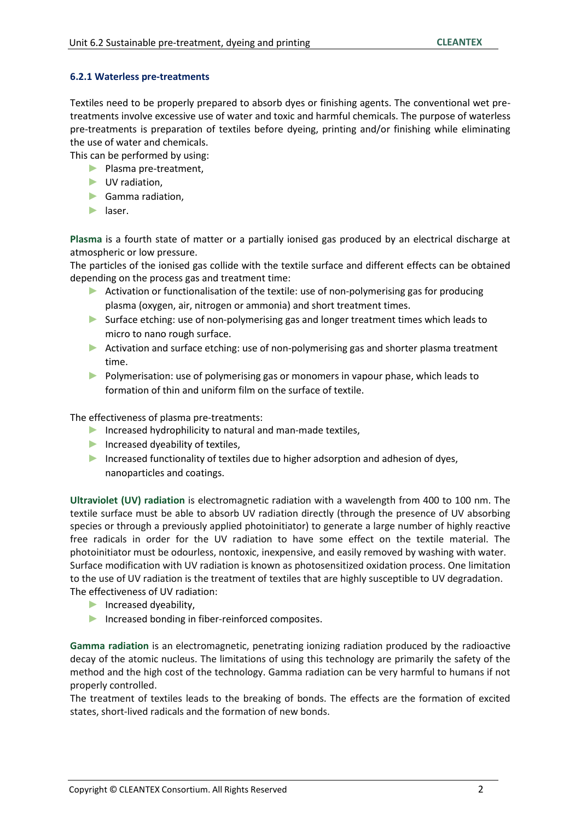#### **6.2.1 Waterless pre-treatments**

Textiles need to be properly prepared to absorb dyes or finishing agents. The conventional wet pretreatments involve excessive use of water and toxic and harmful chemicals. The purpose of waterless pre-treatments is preparation of textiles before dyeing, printing and/or finishing while eliminating the use of water and chemicals.

This can be performed by using:

- ► Plasma pre-treatment,
- ► UV radiation,
- ► Gamma radiation,
- ► laser.

**Plasma** is a fourth state of matter or a partially ionised gas produced by an electrical discharge at atmospheric or low pressure.

The particles of the ionised gas collide with the textile surface and different effects can be obtained depending on the process gas and treatment time:

- ► Activation or functionalisation of the textile: use of non-polymerising gas for producing plasma (oxygen, air, nitrogen or ammonia) and short treatment times.
- ► Surface etching: use of non-polymerising gas and longer treatment times which leads to micro to nano rough surface.
- ► Activation and surface etching: use of non-polymerising gas and shorter plasma treatment time.
- ► Polymerisation: use of polymerising gas or monomers in vapour phase, which leads to formation of thin and uniform film on the surface of textile.

The effectiveness of plasma pre-treatments:

- ► Increased hydrophilicity to natural and man-made textiles,
- ► Increased dyeability of textiles,
- ► Increased functionality of textiles due to higher adsorption and adhesion of dyes, nanoparticles and coatings.

**Ultraviolet (UV) radiation** is electromagnetic radiation with a wavelength from 400 to 100 nm. The textile surface must be able to absorb UV radiation directly (through the presence of UV absorbing species or through a previously applied photoinitiator) to generate a large number of highly reactive free radicals in order for the UV radiation to have some effect on the textile material. The photoinitiator must be odourless, nontoxic, inexpensive, and easily removed by washing with water. Surface modification with UV radiation is known as photosensitized oxidation process. One limitation to the use of UV radiation is the treatment of textiles that are highly susceptible to UV degradation. The effectiveness of UV radiation:

- ► Increased dyeability,
- ► Increased bonding in fiber-reinforced composites.

**Gamma radiation** is an electromagnetic, penetrating ionizing radiation produced by the radioactive decay of the atomic nucleus. The limitations of using this technology are primarily the safety of the method and the high cost of the technology. Gamma radiation can be very harmful to humans if not properly controlled.

The treatment of textiles leads to the breaking of bonds. The effects are the formation of excited states, short-lived radicals and the formation of new bonds.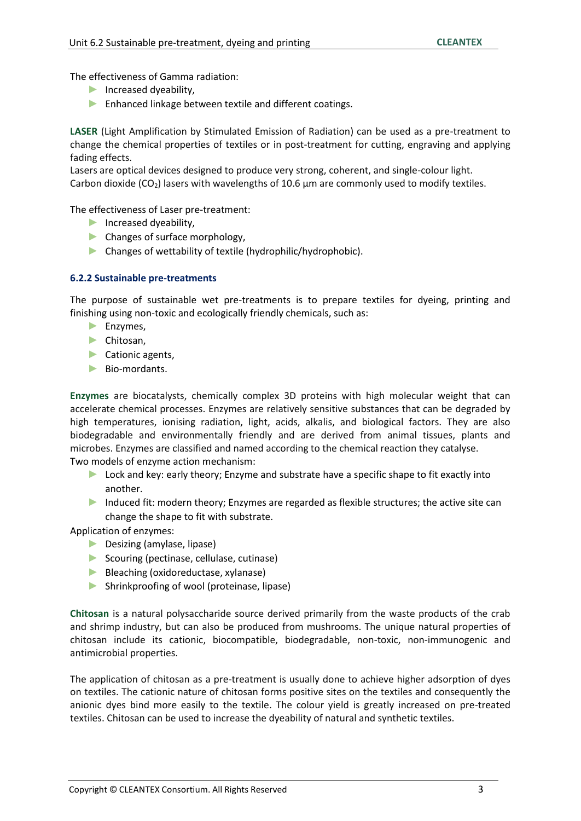The effectiveness of Gamma radiation:

- ► Increased dyeability,
- ► Enhanced linkage between textile and different coatings.

**LASER** (Light Amplification by Stimulated Emission of Radiation) can be used as a pre-treatment to change the chemical properties of textiles or in post-treatment for cutting, engraving and applying fading effects.

Lasers are optical devices designed to produce very strong, coherent, and single-colour light. Carbon dioxide (CO<sub>2</sub>) lasers with wavelengths of 10.6  $\mu$ m are commonly used to modify textiles.

The effectiveness of Laser pre-treatment:

- ► Increased dyeability,
- ► Changes of surface morphology,
- ► Changes of wettability of textile (hydrophilic/hydrophobic).

#### **6.2.2 Sustainable pre-treatments**

The purpose of sustainable wet pre-treatments is to prepare textiles for dyeing, printing and finishing using non-toxic and ecologically friendly chemicals, such as:

- ► Enzymes,
- ► Chitosan,
- ► Cationic agents,
- ► Bio-mordants.

**Enzymes** are biocatalysts, chemically complex 3D proteins with high molecular weight that can accelerate chemical processes. Enzymes are relatively sensitive substances that can be degraded by high temperatures, ionising radiation, light, acids, alkalis, and biological factors. They are also biodegradable and environmentally friendly and are derived from animal tissues, plants and microbes. Enzymes are classified and named according to the chemical reaction they catalyse. Two models of enzyme action mechanism:

- ► Lock and key: early theory; Enzyme and substrate have a specific shape to fit exactly into another.
- ► Induced fit: modern theory; Enzymes are regarded as flexible structures; the active site can change the shape to fit with substrate.

Application of enzymes:

- ► Desizing (amylase, lipase)
- ► Scouring (pectinase, cellulase, cutinase)
- ► Bleaching (oxidoreductase, xylanase)
- ► Shrinkproofing of wool (proteinase, lipase)

**Chitosan** is a natural polysaccharide source derived primarily from the waste products of the crab and shrimp industry, but can also be produced from mushrooms. The unique natural properties of chitosan include its cationic, biocompatible, biodegradable, non-toxic, non-immunogenic and antimicrobial properties.

The application of chitosan as a pre-treatment is usually done to achieve higher adsorption of dyes on textiles. The cationic nature of chitosan forms positive sites on the textiles and consequently the anionic dyes bind more easily to the textile. The colour yield is greatly increased on pre-treated textiles. Chitosan can be used to increase the dyeability of natural and synthetic textiles.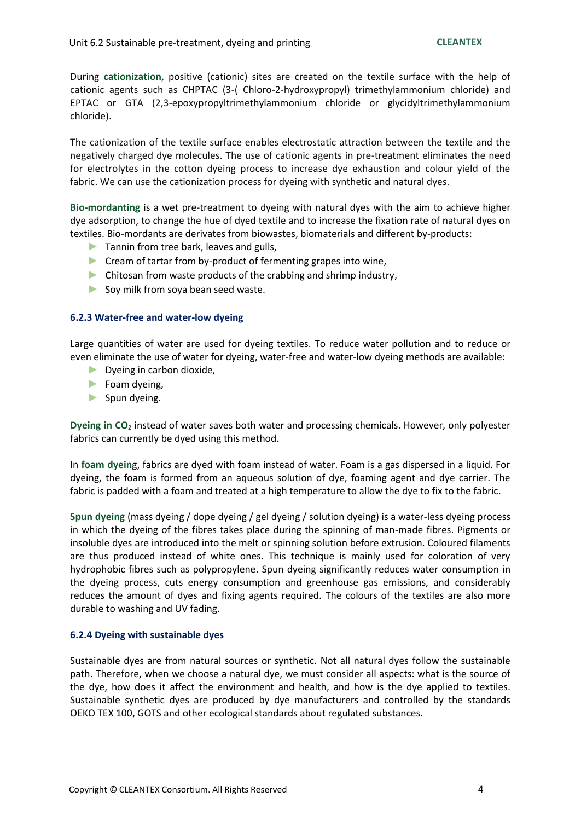During **cationization**, positive (cationic) sites are created on the textile surface with the help of cationic agents such as CHPTAC (3-( Chloro-2-hydroxypropyl) trimethylammonium chloride) and EPTAC or GTA (2,3-epoxypropyltrimethylammonium chloride or glycidyltrimethylammonium chloride).

The cationization of the textile surface enables electrostatic attraction between the textile and the negatively charged dye molecules. The use of cationic agents in pre-treatment eliminates the need for electrolytes in the cotton dyeing process to increase dye exhaustion and colour yield of the fabric. We can use the cationization process for dyeing with synthetic and natural dyes.

**Bio-mordanting** is a wet pre-treatment to dyeing with natural dyes with the aim to achieve higher dye adsorption, to change the hue of dyed textile and to increase the fixation rate of natural dyes on textiles. Bio-mordants are derivates from biowastes, biomaterials and different by-products:

- ► Tannin from tree bark, leaves and gulls,
- ► Cream of tartar from by-product of fermenting grapes into wine,
- ► Chitosan from waste products of the crabbing and shrimp industry,
- ► Soy milk from soya bean seed waste.

#### **6.2.3 Water-free and water-low dyeing**

Large quantities of water are used for dyeing textiles. To reduce water pollution and to reduce or even eliminate the use of water for dyeing, water-free and water-low dyeing methods are available:

- ► Dyeing in carbon dioxide,
- $\blacktriangleright$  Foam dyeing,
- ► Spun dyeing.

**Dyeing in CO<sup>2</sup>** instead of water saves both water and processing chemicals. However, only polyester fabrics can currently be dyed using this method.

In **foam dyein**g, fabrics are dyed with foam instead of water. Foam is a gas dispersed in a liquid. For dyeing, the foam is formed from an aqueous solution of dye, foaming agent and dye carrier. The fabric is padded with a foam and treated at a high temperature to allow the dye to fix to the fabric.

**Spun dyeing** (mass dyeing / dope dyeing / gel dyeing / solution dyeing) is a water-less dyeing process in which the dyeing of the fibres takes place during the spinning of man-made fibres. Pigments or insoluble dyes are introduced into the melt or spinning solution before extrusion. Coloured filaments are thus produced instead of white ones. This technique is mainly used for coloration of very hydrophobic fibres such as polypropylene. Spun dyeing significantly reduces water consumption in the dyeing process, cuts energy consumption and greenhouse gas emissions, and considerably reduces the amount of dyes and fixing agents required. The colours of the textiles are also more durable to washing and UV fading.

#### **6.2.4 Dyeing with sustainable dyes**

Sustainable dyes are from natural sources or synthetic. Not all natural dyes follow the sustainable path. Therefore, when we choose a natural dye, we must consider all aspects: what is the source of the dye, how does it affect the environment and health, and how is the dye applied to textiles. Sustainable synthetic dyes are produced by dye manufacturers and controlled by the standards OEKO TEX 100, GOTS and other ecological standards about regulated substances.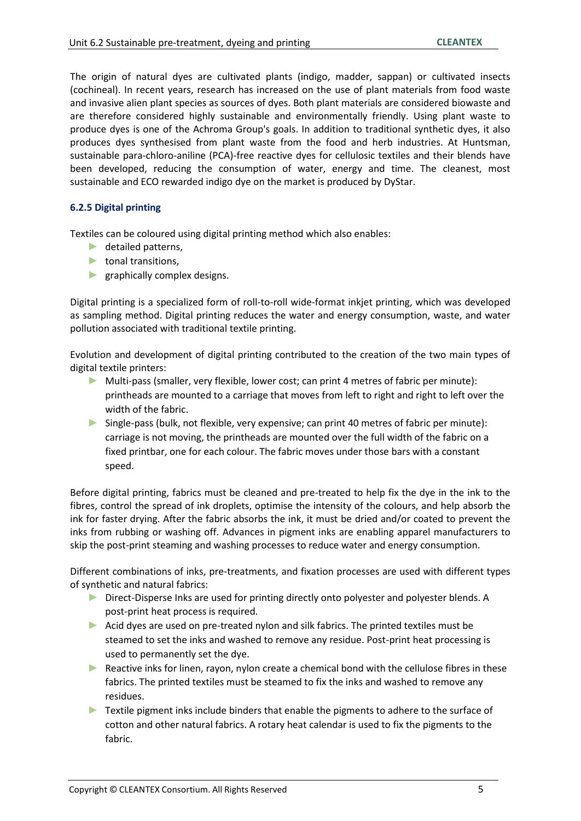The origin of natural dyes are cultivated plants (indigo, madder, sappan) or cultivated insects (cochineal). In recent years, research has increased on the use of plant materials from food waste and invasive alien plant species as sources of dyes. Both plant materials are considered biowaste and are therefore considered highly sustainable and environmentally friendly. Using plant waste to produce dyes is one of the Achroma Group's goals. In addition to traditional synthetic dyes, it also produces dyes synthesised from plant waste from the food and herb industries. At Huntsman, sustainable para-chloro-aniline (PCA)-free reactive dyes for cellulosic textiles and their blends have been developed, reducing the consumption of water, energy and time. The cleanest, most sustainable and ECO rewarded indigo dye on the market is produced by DyStar.

#### **6.2.5 Digital printing**

Textiles can be coloured using digital printing method which also enables:

- $\blacktriangleright$  detailed patterns,
- ► tonal transitions,
- ▶ graphically complex designs.

Digital printing is a specialized form of roll-to-roll wide-format inkjet printing, which was developed as sampling method. Digital printing reduces the water and energy consumption, waste, and water pollution associated with traditional textile printing.

Evolution and development of digital printing contributed to the creation of the two main types of digital textile printers:

- ► Multi-pass (smaller, very flexible, lower cost; can print 4 metres of fabric per minute): printheads are mounted to a carriage that moves from left to right and right to left over the width of the fabric.
- ► Single-pass (bulk, not flexible, very expensive; can print 40 metres of fabric per minute): carriage is not moving, the printheads are mounted over the full width of the fabric on a fixed printbar, one for each colour. The fabric moves under those bars with a constant speed.

Before digital printing, fabrics must be cleaned and pre-treated to help fix the dye in the ink to the fibres, control the spread of ink droplets, optimise the intensity of the colours, and help absorb the ink for faster drying. After the fabric absorbs the ink, it must be dried and/or coated to prevent the inks from rubbing or washing off. Advances in pigment inks are enabling apparel manufacturers to skip the post-print steaming and washing processes to reduce water and energy consumption.

Different combinations of inks, pre-treatments, and fixation processes are used with different types of synthetic and natural fabrics:

- ► Direct-Disperse Inks are used for printing directly onto polyester and polyester blends. A post-print heat process is required.
- $\blacktriangleright$  Acid dyes are used on pre-treated nylon and silk fabrics. The printed textiles must be steamed to set the inks and washed to remove any residue. Post-print heat processing is used to permanently set the dye.
- ► Reactive inks for linen, rayon, nylon create a chemical bond with the cellulose fibres in these fabrics. The printed textiles must be steamed to fix the inks and washed to remove any residues.
- ► Textile pigment inks include binders that enable the pigments to adhere to the surface of cotton and other natural fabrics. A rotary heat calendar is used to fix the pigments to the fabric.